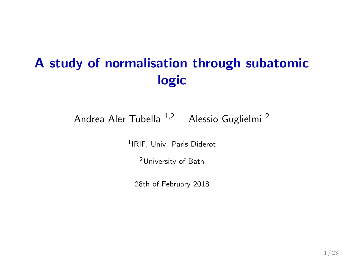# A study of normalisation through subatomic logic

Andrea Aler Tubella <sup>1,2</sup> Alessio Guglielmi<sup>2</sup>

1 IRIF, Univ. Paris Diderot

<sup>2</sup>University of Bath

28th of February 2018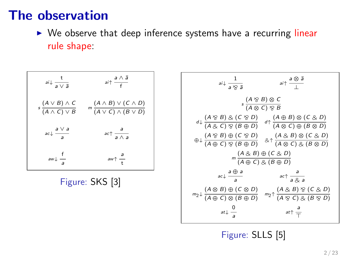#### The observation

 $\triangleright$  We observe that deep inference systems have a recurring linear rule shape:

| $ai\downarrow \frac{1}{a \vee \bar{a}}$            | $ai \uparrow \frac{a \wedge \bar{a}}{f}$                               |
|----------------------------------------------------|------------------------------------------------------------------------|
| $s\frac{(A \vee B) \wedge C}{(A \wedge C) \vee B}$ | $m\frac{(A \wedge B) \vee (C \wedge D)}{(A \vee C) \wedge (B \vee D)}$ |
| $\int \frac{a \vee a}{a}$                          | $ac \uparrow \frac{d}{a \wedge a}$                                     |
| $aw \downarrow \frac{f}{a}$                        | $aw \uparrow \frac{d}{t}$                                              |

Figure: SKS [\[3\]](#page-21-0)

| $ai\downarrow \frac{1}{a\otimes \bar{a}}$                                                                                                                                                          | $ai\uparrow \frac{a \otimes \bar{a}}{1}$ |  |
|----------------------------------------------------------------------------------------------------------------------------------------------------------------------------------------------------|------------------------------------------|--|
| $s \frac{(A \otimes B) \otimes C}{(A \otimes C) \otimes B}$                                                                                                                                        |                                          |  |
| $d\downarrow \frac{(A \otimes B) \otimes (C \otimes D)}{(A \otimes C) \otimes (B \oplus D)} \quad d\uparrow \frac{(A \oplus B) \otimes (C \otimes D)}{(A \otimes C) \oplus (B \otimes D)}$         |                                          |  |
| $\oplus \downarrow \frac{(A \otimes B) \oplus (C \otimes D)}{(A \oplus C) \otimes (B \oplus D)} \quad \& \uparrow \frac{(A \otimes B) \otimes (C \otimes D)}{(A \otimes C) \otimes (B \otimes D)}$ |                                          |  |
| $m\frac{(A \& B) \oplus (C \& D)}{(A \oplus C) \& (B \oplus D)}$                                                                                                                                   |                                          |  |
| $\int \frac{a \oplus a}{a}$                                                                                                                                                                        | $ac \uparrow \frac{a}{a \otimes a}$      |  |
| $m_2 \downarrow \frac{(A \otimes B) \oplus (C \otimes D)}{(A \oplus C) \otimes (B \oplus D)}$ $m_2 \uparrow \frac{(A \otimes B) \otimes (C \otimes D)}{(A \otimes C) \otimes (B \otimes D)}$       |                                          |  |
| at $\downarrow \frac{0}{\cdot}$                                                                                                                                                                    | $at \uparrow \frac{a}{\pm}$              |  |

Figure: SLLS [\[5\]](#page-21-1)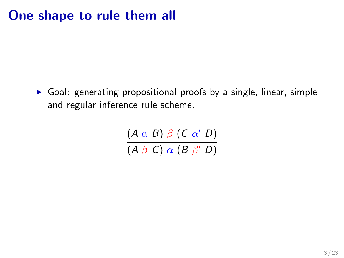### One shape to rule them all

 $\triangleright$  Goal: generating propositional proofs by a single, linear, simple and regular inference rule scheme.

> $(A \alpha B) \beta (C \alpha' D)$  $(A \beta C) \alpha (B \beta' D)$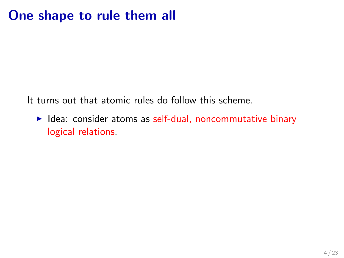## One shape to rule them all

It turns out that atomic rules do follow this scheme.

 $\blacktriangleright$  Idea: consider atoms as self-dual, noncommutative binary logical relations.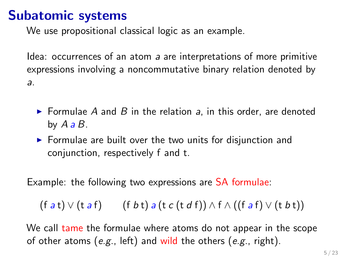#### Subatomic systems

We use propositional classical logic as an example.

Idea: occurrences of an atom a are interpretations of more primitive expressions involving a noncommutative binary relation denoted by a.

- $\triangleright$  Formulae A and B in the relation a, in this order, are denoted by  $A \, a \, B$ .
- $\triangleright$  Formulae are built over the two units for disjunction and conjunction, respectively f and t.

Example: the following two expressions are SA formulae:

$$
(\text{f } a\,\mathsf{t}) \vee (\text{t } a\,\mathsf{f}) \qquad (\text{f } b\,\mathsf{t})\, a\,(\text{t } c\,(\text{t } d\,\mathsf{f})) \wedge \text{f } \wedge ((\text{f } a\,\mathsf{f}) \vee (\text{t } b\,\mathsf{t}))
$$

We call tame the formulae where atoms do not appear in the scope of other atoms (e.g., left) and wild the others (e.g., right).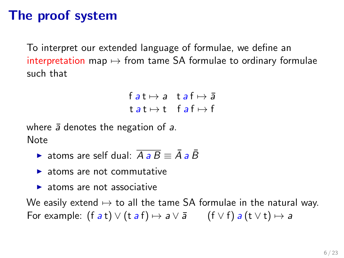## The proof system

To interpret our extended language of formulae, we define an interpretation map  $\mapsto$  from tame SA formulae to ordinary formulae such that

> $f$  at  $\mapsto$  a t a  $f \mapsto \overline{a}$  $t a t \mapsto t$  f  $a f \mapsto f$

where  $\bar{a}$  denotes the negation of  $a$ . Note

- ightharpoonup atoms are self dual:  $\overline{A} \cdot \overline{B} \equiv \overline{A} \cdot \overline{B}$
- $\blacktriangleright$  atoms are not commutative
- $\blacktriangleright$  atoms are not associative

We easily extend  $\mapsto$  to all the tame SA formulae in the natural way. For example:  $(f a t) \vee (t a f) \mapsto a \vee \overline{a}$   $(f \vee f) a (t \vee t) \mapsto a$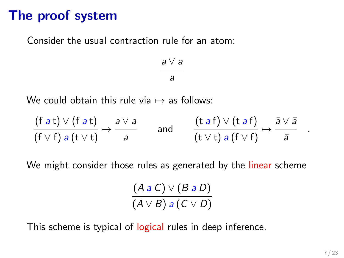## The proof system

Consider the usual contraction rule for an atom:

a ∨ a a

We could obtain this rule via  $\mapsto$  as follows:

$$
\frac{(f a t) \vee (f a t)}{(f \vee f) a (t \vee t)} \mapsto \frac{a \vee a}{a} \qquad \text{and} \qquad \frac{(t a f) \vee (t a f)}{(t \vee t) a (f \vee f)} \mapsto \frac{\overline{a} \vee \overline{a}}{\overline{a}}
$$

We might consider those rules as generated by the linear scheme

$$
\frac{(A \mathbin{\overline{a}} C) \vee (B \mathbin{\overline{a}} D)}{(A \vee B) \mathbin{\overline{a}} (C \vee D)}
$$

This scheme is typical of logical rules in deep inference.

.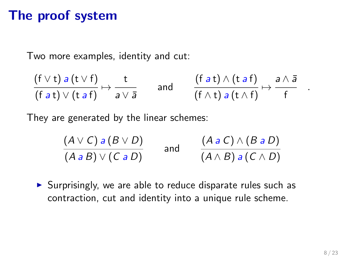## The proof system

Two more examples, identity and cut:

$$
\frac{(f \vee t) a (t \vee f)}{(f a t) \vee (t a f)} \mapsto \frac{t}{a \vee \overline{a}} \quad \text{and} \quad \frac{(f a t) \wedge (t a f)}{(f \wedge t) a (t \wedge f)} \mapsto \frac{a \wedge \overline{a}}{f}
$$

They are generated by the linear schemes:

$$
\frac{(A \vee C) a (B \vee D)}{(A \cdot B) \vee (C \cdot a D)}
$$
 and 
$$
\frac{(A \cdot a C) \wedge (B \cdot a D)}{(A \wedge B) a (C \wedge D)}
$$

 $\triangleright$  Surprisingly, we are able to reduce disparate rules such as contraction, cut and identity into a unique rule scheme.

.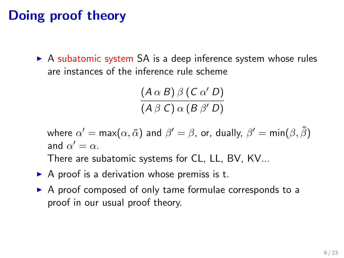## Doing proof theory

 $\triangleright$  A subatomic system SA is a deep inference system whose rules are instances of the inference rule scheme

> $(A \alpha B) \beta (C \alpha' D)$  $(A \beta C) \alpha (B \beta' D)$

where  $\alpha' = \mathsf{max}(\alpha, \bar{\alpha})$  and  $\beta' = \beta$ , or, dually,  $\beta' = \mathsf{min}(\beta, \bar{\beta})$ and  $\alpha' = \alpha$ .

There are subatomic systems for CL, LL, BV, KV...

- $\triangleright$  A proof is a derivation whose premiss is t.
- $\triangleright$  A proof composed of only tame formulae corresponds to a proof in our usual proof theory.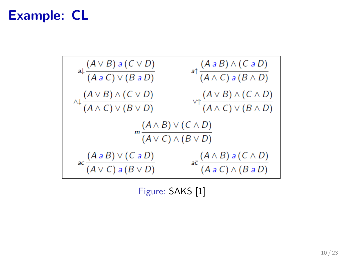### Example: CL



Figure: SAKS [\[1\]](#page-21-2)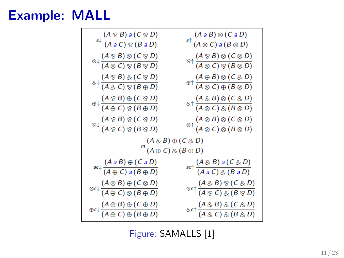### Example: MALL



Figure: SAMALLS [\[1\]](#page-21-2)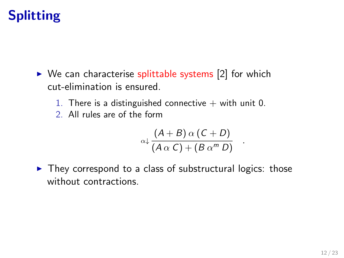- $\triangleright$  We can characterise splittable systems [\[2\]](#page-21-3) for which cut-elimination is ensured.
	- 1. There is a distinguished connective  $+$  with unit 0.
	- 2. All rules are of the form

$$
\alpha \downarrow \frac{(A+B) \alpha (C+D)}{(A \alpha C) + (B \alpha^m D)}
$$

.

 $\triangleright$  They correspond to a class of substructural logics: those without contractions.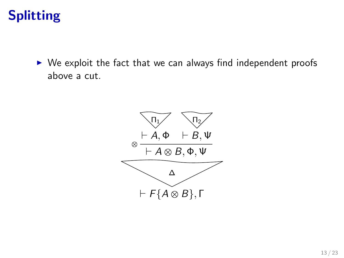$\triangleright$  We exploit the fact that we can always find independent proofs above a cut.

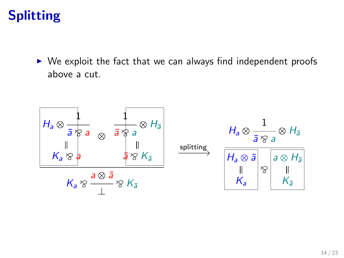$\triangleright$  We exploit the fact that we can always find independent proofs above a cut.

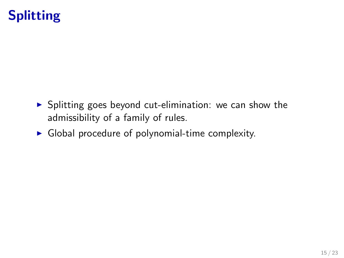- $\triangleright$  Splitting goes beyond cut-elimination: we can show the admissibility of a family of rules.
- $\triangleright$  Global procedure of polynomial-time complexity.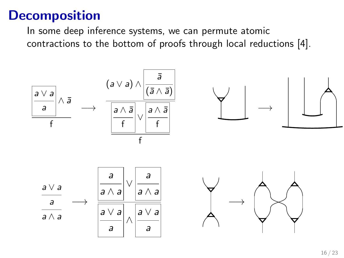In some deep inference systems, we can permute atomic contractions to the bottom of proofs through local reductions [\[4\]](#page-21-4).

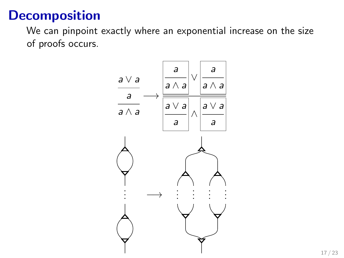We can pinpoint exactly where an exponential increase on the size of proofs occurs.

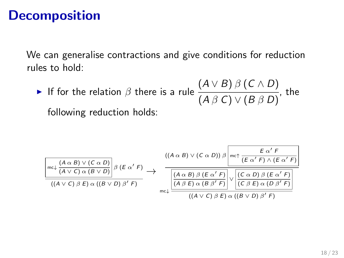We can generalise contractions and give conditions for reduction rules to hold:

If for the relation  $\beta$  there is a rule  $(A \vee B) \beta (C \wedge D)$  $(A \beta C) \vee (B \beta D)$ , the following reduction holds:

(A α B) ∨ (C α D) mc↓ (A ∨ C) α (B ∨ D) β (E α <sup>0</sup> F) ((A ∨ C) β E) α ((B ∨ D) β <sup>0</sup> F) → ((A α B) ∨ (C α D)) β E α <sup>0</sup> F mc↑ (E α <sup>0</sup> F) ∧ (E α <sup>0</sup> F) (A α B) β (E α <sup>0</sup> F) (A β E) α (B β <sup>0</sup> F) ∨ (C α D) β (E α <sup>0</sup> F) (C β E) α (D β <sup>0</sup> F) mc↓ ((A ∨ C) β E) α ((B ∨ D) β <sup>0</sup> F)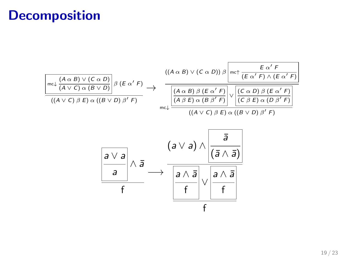$$
\frac{\left(\left(A \alpha \beta\right) \vee \left(C \alpha D\right)\right)}{\left(\left(A \vee C\right) \beta \ E\right) \alpha \left(\left(B \vee D\right)\right)} \beta \left(E \alpha' F\right) \longrightarrow \frac{\left(\left(A \alpha \beta\right) \vee \left(C \alpha D\right)\right) \beta \left[\operatorname{mc}\uparrow \frac{E \alpha' F}{\left(E \alpha' F\right) \wedge \left(E \alpha' F\right)}\right]}{\left(\left(A \vee C\right) \beta \ E\right) \alpha \left(\left(B \vee D\right) \beta' F\right)} \longrightarrow \frac{\left(\left(A \alpha \beta\right) \beta \left(E \alpha' F\right)\right) \beta \left[\operatorname{mc}\uparrow \frac{E \alpha' F}{\left(E \alpha' F\right) \wedge \left(E \alpha' F\right)}\right]}{\left(\left(A \beta E\right) \alpha \left(B \beta' F\right)\right) \vee \left[\operatorname{cc} \alpha D\right) \beta \left(E \alpha' F\right)\right]} \tag{A ~ V C) ~ B ~ V f}
$$

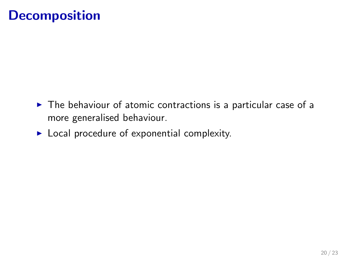- $\triangleright$  The behaviour of atomic contractions is a particular case of a more generalised behaviour.
- $\blacktriangleright$  Local procedure of exponential complexity.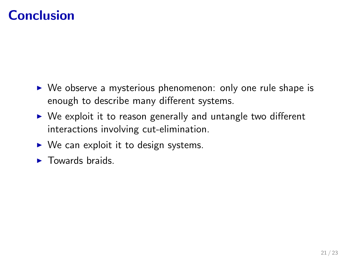## Conclusion

- $\triangleright$  We observe a mysterious phenomenon: only one rule shape is enough to describe many different systems.
- $\triangleright$  We exploit it to reason generally and untangle two different interactions involving cut-elimination.
- $\triangleright$  We can exploit it to design systems.
- $\blacktriangleright$  Towards braids.